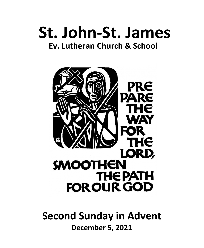



**Second Sunday in Advent December 5, 2021**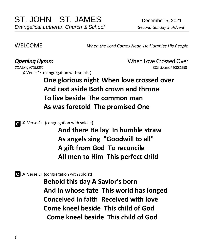WELCOME *When the Lord Comes Near, He Humbles His People*

Verse 1: (congregation with soloist)

**Opening Hymn: Constant Over Service Constant Over Service Constant Over Service Constant Over Service Constant Over Service Constant Over Service Constant Over Service Constant Over Service Constant Over Service Constan** *CCLI Song #7052252* CCLI License #20031593

> **One glorious night When love crossed over And cast aside Both crown and throne To live beside The common man As was foretold The promised One**

**a** *P* Verse 2: (congregation with soloist)

**And there He lay In humble straw As angels sing "Goodwill to all" A gift from God To reconcile All men to Him This perfect child**

**C**  $\neq$  Verse 3: (congregation with soloist)

 **Behold this day A Savior's born And in whose fate This world has longed Conceived in faith Received with love Come kneel beside This child of God Come kneel beside This child of God**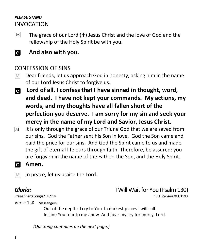## *PLEASE STAND* INVOCATION

 $|M|$ The grace of our Lord  $(\dagger)$  Jesus Christ and the love of God and the fellowship of the Holy Spirit be with you.

**C And also with you.**

# CONFESSION OF SINS

- Dear friends, let us approach God in honesty, asking him in the name  $|M|$ of our Lord Jesus Christ to forgive us.
- **Lord of all, I confess that I have sinned in thought, word, C and deed. I have not kept your commands. My actions, my words, and my thoughts have all fallen short of the perfection you deserve. I am sorry for my sin and seek your mercy in the name of my Lord and Savior, Jesus Christ.**
- It is only through the grace of our Triune God that we are saved from  $M$ our sins. God the Father sent his Son in love. God the Son came and paid the price for our sins. And God the Spirit came to us and made the gift of eternal life ours through faith. Therefore, be assured: you are forgiven in the name of the Father, the Son, and the Holy Spirit.
- 

# **Amen.**

In peace, let us praise the Lord.  $\mathbf{M}$ 

# *Gloria:* I Will Wait for You (Psalm 130)

Praise Charts Song #7118914 CCLI License #20031593

Verse 1  **Messengers:** 

Out of the depths I cry to You In darkest places I will call Incline Your ear to me anew And hear my cry for mercy, Lord.

 *(Our Song continues on the next page.)*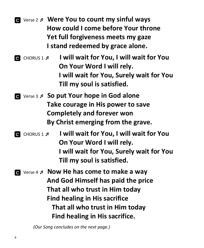Verse 2  **Were You to count my sinful ways How could I come before Your throne Yet full forgiveness meets my gaze I stand redeemed by grace alone.** CHORUS <sup>1</sup>  **I will wait for You, I will wait for You On Your Word I will rely. I will wait for You, Surely wait for You Till my soul is satisfied.** Verse 3  **So put Your hope in God alone Take courage in His power to save Completely and forever won By Christ emerging from the grave.** CHORUS <sup>1</sup>  **I will wait for You, I will wait for You On Your Word I will rely. I will wait for You, Surely wait for You Till my soul is satisfied.** Verse 4  **Now He has come to make a way And God Himself has paid the price That all who trust in Him today Find healing in His sacrifice That all who trust in Him today Find healing in His sacrifice.**

 *(Our Song concludes on the next page.)*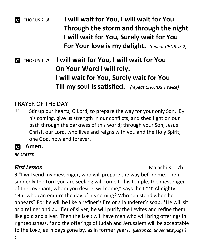CHORUS <sup>2</sup>  **I will wait for You, I will wait for You Through the storm and through the night I will wait for You, Surely wait for You For Your love is my delight.** *(repeat CHORUS 2)*

 CHORUS <sup>1</sup>  **I will wait for You, I will wait for You On Your Word I will rely. I will wait for You, Surely wait for You Till my soul is satisfied.** *(repeat CHORUS <sup>1</sup> twice)*

# PRAYER OF THE DAY

 $\mathbf{M}$ Stir up our hearts, O Lord, to prepare the way for your only Son. By his coming, give us strength in our conflicts, and shed light on our path through the darkness of this world; through your Son, Jesus Christ, our Lord, who lives and reigns with you and the Holy Spirit, one God, now and forever.

#### **Amen.**  $\mathbf{C}$

*BE SEATED*

*First Lesson* Malachi 3:1-7b

**3** "I will send my messenger, who will prepare the way before me. Then suddenly the Lord you are seeking will come to his temple; the messenger of the covenant, whom you desire, will come," says the LORD Almighty. **<sup>2</sup>** But who can endure the day of his coming? Who can stand when he appears? For he will be like a refiner's fire or a launderer's soap. **<sup>3</sup>**He will sit as a refiner and purifier of silver; he will purify the Levites and refine them like gold and silver. Then the LORD will have men who will bring offerings in righteousness, **<sup>4</sup>** and the offerings of Judah and Jerusalem will be acceptable to the LORD, as in days gone by, as in former years. *(Lesson continues next page.)*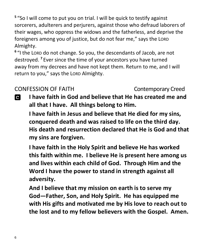**5** "So I will come to put you on trial. I will be quick to testify against sorcerers, adulterers and perjurers, against those who defraud laborers of their wages, who oppress the widows and the fatherless, and deprive the foreigners among you of justice, but do not fear me," says the LORD Almighty.

**6** "I the LORD do not change. So you, the descendants of Jacob, are not destroyed. **<sup>7</sup>** Ever since the time of your ancestors you have turned away from my decrees and have not kept them. Return to me, and I will return to you," says the LORD Almighty.

# CONFESSION OF FAITH CONFESSION CONTENTS

**I have faith in God and believe that He has created me and C all that I have. All things belong to Him.**

**I have faith in Jesus and believe that He died for my sins, conquered death and was raised to life on the third day. His death and resurrection declared that He is God and that my sins are forgiven.**

**I have faith in the Holy Spirit and believe He has worked this faith within me. I believe He is present here among us and lives within each child of God. Through Him and the Word I have the power to stand in strength against all adversity.**

**And I believe that my mission on earth is to serve my God—Father, Son, and Holy Spirit. He has equipped me with His gifts and motivated me by His love to reach out to the lost and to my fellow believers with the Gospel. Amen.**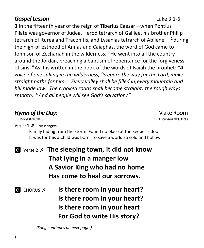**Gospel Lesson Contract 2:1-6** 

**3** In the fifteenth year of the reign of Tiberius Caesar—when Pontius Pilate was governor of Judea, Herod tetrarch of Galilee, his brother Philip tetrarch of Iturea and Traconitis, and Lysanias tetrarch of Abilene— **<sup>2</sup>** during the high-priesthood of Annas and Caiaphas, the word of God came to John son of Zechariah in the wilderness. **<sup>3</sup>**He went into all the country around the Jordan, preaching a baptism of repentance for the forgiveness of sins. **<sup>4</sup>** As it is written in the book of the words of Isaiah the prophet: "*A voice of one calling in the wilderness, 'Prepare the way for the Lord, make* 

*straight paths for him. <sup>5</sup> Every valley shall be filled in,every mountain and hill made low. The crooked roads shall become straight, the rough ways smooth. <sup>6</sup> And all people will see God's salvation*.'"

# *Hymn of the Day:* 2008 **Make Room**

Verse 1  **Messengers:**  Family hiding from the storm Found no place at the keeper's door It was for this a Child was born To save a world so cold and hollow.

| <b>E</b> Verse 2 $\neq$ The sleeping town, it did not know |
|------------------------------------------------------------|
| That lying in a manger low                                 |
| A Savior King who had no home                              |
| Has come to heal our sorrows.                              |

*C* CHORUS  $\beta$  **Is there room in your heart? Is there room in your heart? Is there room in your heart For God to write His story?**

*(Song continues on next page.)*

CCLI Song#7101018 CCLI License #20031593

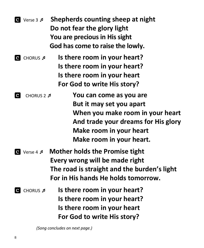|             | $\bullet$ Verse 3 $\sharp$ | Shepherds counting sheep at night<br>Do not fear the glory light<br>You are precious in His sight<br>God has come to raise the lowly.                                                 |
|-------------|----------------------------|---------------------------------------------------------------------------------------------------------------------------------------------------------------------------------------|
|             | <b>C</b> CHORUS <b>P</b>   | Is there room in your heart?<br>Is there room in your heart?<br>Is there room in your heart<br>For God to write His story?                                                            |
| $\mathbf C$ | CHORUS 2 5                 | You can come as you are<br>But it may set you apart<br>When you make room in your heart<br>And trade your dreams for His glory<br>Make room in your heart<br>Make room in your heart. |
|             | C Verse 4 $\sqrt{ }$       | <b>Mother holds the Promise tight</b><br>Every wrong will be made right<br>The road is straight and the burden's light<br>For in His hands He holds tomorrow.                         |
|             | CHORUS <sub>5</sub>        | Is there room in your heart?<br>Is there room in your heart?<br>Is there room in your heart<br>For God to write His story?                                                            |

*(Song concludes on next page.)*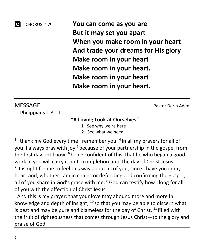**C** CHORUS 2 *A* **POU CAN COME AS YOU Are But it may set you apart When you make room in your heart And trade your dreams for His glory Make room in your heart**

**Make room in your heart.**

**Make room in your heart**

**Make room in your heart.**

# MESSAGE Pastor Darin Aden

Philippians 1:3-11

### **"A Loving Look at Ourselves"**

1. See why we're here

2. See what we need

**3** I thank my God every time I remember you. **<sup>4</sup>** In all my prayers for all of you, I always pray with joy **<sup>5</sup>** because of your partnership in the gospel from the first day until now, <sup>6</sup> being confident of this, that he who began a good work in you will carry it on to completion until the day of Christ Jesus. <sup>7</sup> It is right for me to feel this way about all of you, since I have you in my heart and, whether I am in chains or defending and confirming the gospel, all of you share in God's grace with me. **<sup>8</sup>**God can testify how I long for all of you with the affection of Christ Jesus.

**<sup>9</sup>** And this is my prayer: that your love may abound more and more in knowledge and depth of insight, **<sup>10</sup>** so that you may be able to discern what is best and may be pure and blameless for the day of Christ, **<sup>11</sup>** filled with the fruit of righteousness that comes through Jesus Christ—to the glory and praise of God.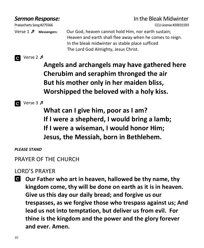# *Sermon Response:* In the Bleak Midwinter

Praisecharts Song#275566 CCLI License #20031593 Turn

Verse 1  **Messengers:** Our God, heaven cannot hold Him, nor earth sustain; Heaven and earth shall flee away when he comes to reign. In the bleak midwinter as stable place sufficed The Lord God Almighty, Jesus Christ.



**Angels and archangels may have gathered here Cherubim and seraphim thronged the air But his mother only in her maiden bliss, Worshipped the beloved with a holy kiss.**

**a** Verse 3 *<b>* 

**What can I give him, poor as I am? If I were a shepherd, I would bring a lamb; If I were a wiseman, I would honor Him; Jesus, the Messiah, born in Bethlehem.**

*PLEASE STAND*

# PRAYER OF THE CHURCH

LORD'S PRAYER

**Our Father who art in heaven, hallowed be thy name, thy kingdom come, thy will be done on earth as it is in heaven. Give us this day our daily bread; and forgive us our trespasses, as we forgive those who trespass against us; And lead us not into temptation, but deliver us from evil. For thine is the kingdom and the power and the glory forever and ever. Amen.**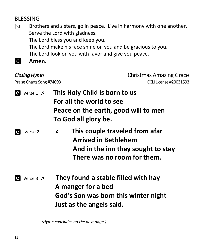# BLESSING

 $[M]$ Brothers and sisters, go in peace. Live in harmony with one another. Serve the Lord with gladness. The Lord bless you and keep you. The Lord make his face shine on you and be gracious to you. The Lord look on you with favor and give you peace. **C Amen.**

**Closing Hymn**<br> **Christmas Amazing Grace** Praise Charts Song #74093 CCLI License #20031593

- Verse 1  **This Holy Child is born to us For all the world to see Peace on the earth, good will to men To God all glory be.**
- $\blacksquare$  Verse 2 *p* **This couple traveled from afar Arrived in Bethlehem And in the inn they sought to stay There was no room for them.**
- Verse 3  **They found a stable filled with hay A manger for a bed God's Son was born this winter night Just as the angels said.**

 *(Hymn concludes on the next page.)*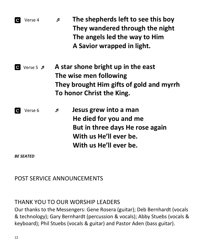| Verse 4            | The shepherds left to see this boy<br>л<br>They wandered through the night<br>The angels led the way to Him<br>A Savior wrapped in light.   |
|--------------------|---------------------------------------------------------------------------------------------------------------------------------------------|
| Verse 5 $\sqrt{2}$ | A star shone bright up in the east<br>The wise men following<br>They brought Him gifts of gold and myrrh<br>To honor Christ the King.       |
| Verse 6            | Jesus grew into a man<br>A<br>He died for you and me<br>But in three days He rose again<br>With us He'll ever be.<br>With us He'll ever be. |

#### *BE SEATED*

## POST SERVICE ANNOUNCEMENTS

### THANK YOU TO OUR WORSHIP LEADERS

Our thanks to the Messengers: Gene Rosera (guitar); Deb Bernhardt (vocals & technology); Gary Bernhardt (percussion & vocals); Abby Stuebs (vocals & keyboard); Phil Stuebs (vocals & guitar) and Pastor Aden (bass guitar).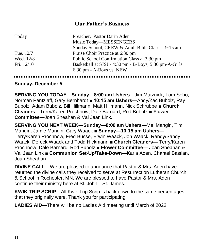### **Our Father's Business**

| Today        | Preacher, Pastor Darin Aden                            |
|--------------|--------------------------------------------------------|
|              | Music Today—MESSENGERS                                 |
|              | Sunday School, CREW & Adult Bible Class at 9:15 am     |
| Tue. 12/7    | Praise Choir Practice at 6:30 pm                       |
| Wed. 12/8    | Public School Confirmation Class at 3:30 pm            |
| Fri. $12/10$ | Basketball at SJSJ - 4:30 pm - B-Boys, 5:30 pm-A-Girls |
|              | $6:30 \text{ pm}$ - A-Boys vs. NEW                     |

#### **Sunday, December 5**

**SERVING YOU TODAY**—**Sunday—8:00 am Ushers—**Jim Matznick, Tom Sebo, Norman Pantzlaff, Gary Bernhardt **■ 10:15 am Ushers—**Andy/Zac Bubolz, Ray Bubolz, Adam Bubolz, Bill Hillmann, Matt Hillmann, Nick Schrubbe ■ **Church Cleaners—**Terry/Karen Prochnow, Dale Barnard, Rod Bubolz ■ **Flower Committee—**Joan Sheahan & Val Jean Link.

**SERVING YOU NEXT WEEK—Sunday—8:00 am Ushers—**Mel Mangin, Tim Mangin, Jamie Mangin, Gary Waack **■ Sunday—10:15 am Ushers—** Terry/Karen Prochnow, Fred Busse, Erwin Waack, Jon Waack, Randy/Sandy Waack, Dereck Waack and Todd Hickmann ■ **Church Cleaners—** Terry/Karen Prochnow, Dale Barnard, Rod Bubolz ■ **Flower Committee—** Joan Sheahan & Val Jean Link **■ Communion Set-Up/Take-Down—**Karla Aden, Chantel Bastian, Joan Sheahan.

**DIVINE CALL—**We are pleased to announce that Pastor & Mrs. Aden have returned the divine calls they received to serve at Resurrection Lutheran Church & School in Rochester, MN. We are blessed to have Pastor & Mrs. Aden continue their ministry here at St. John—St. James.

**KWIK TRIP SCRIP**—All Kwik Trip Scrip is back down to the same percentages that they originally were. Thank you for participating!

**LADIES AID—**There will be no Ladies Aid meeting until March of 2022.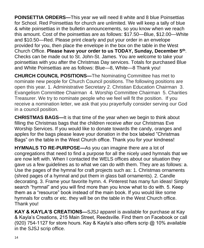**POINSETTIA ORDERS—**This year we will need 8 white and 8 blue Poinsettias for School. Red Poinsettias for church are unlimited. We will keep a tally of blue & white poinsettias in the bulletin announcements, so you know when we reach this amount. Cost of the poinsettias are as follows: \$17.50—Blue, \$12.00—White and \$10.50—Red. Please print clearly and put your order in an envelope provided for you, then place the envelope in the box on the table in the West Church Office. **Please have your order to us TODAY, Sunday, December 5 th** . Checks can be made out to St. John-St. James. You are welcome to take your poinsettias with you after the Christmas Day services. Totals for purchased Blue and White Poinsettias are as follows: Blue—8, White—8 Thank you!

**CHURCH COUNCIL POSITIONS—**The Nominating Committee has met to nominate new people for Church Council positions. The following positions are open this year. 1. Administrative Secretary 2. Christian Education Chairman 3. Evangelism Committee Chairman 4. Worship Committee Chairman 5. Charities Treasurer. We try to nominate people who we feel will fit the position. If you receive a nomination letter, we ask that you prayerfully consider serving our God in a council position.

**CHRISTMAS BAGS—**It is that time of the year when we begin to think about filling the Christmas bags that the children receive after our Christmas Eve Worship Services. If you would like to donate towards the candy, oranges and apples for the bags please leave your donation in the box labeled "Christmas Bags" on the table in the West Church office. Thank you for your kindness!

**HYMNALS TO RE-PURPOSE—**As you can imagine there are a lot of congregations that need to find a purpose for all the nicely used hymnals that we are now left with. When I contacted the WELS offices about our situation they gave us a few guidelines as to what we can do with them. They are as follows: a. Use the pages of the hymnal for craft projects such as: 1. Christmas ornaments (shred pages of a hymnal and put them in glass ball ornaments). 2. Candle decorating. 3. Frame your favorite hymn. 4. Pinterest has many fun ideas! Simply search "hymnal" and you will find more than you know what to do with. 5. Keep them as a "resource" book instead of the main book. If you would like some hymnals for crafts or etc. they will be on the table in the West Church office. Thank you!

**KAY & KAYLA'S CREATIONS—**SJSJ apparel is available for purchase at Kay & Kayla's Creations, 215 Main Street, Reedsville. Find them on Facebook or call (920) 754-1127 for store hours. Kay & Kayla's also offers scrip @ 10% available in the SJSJ scrip office.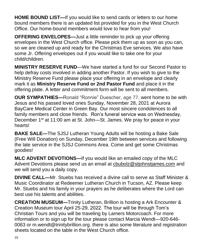**HOME BOUND LIST—**If you would like to send cards or letters to our home bound members there is an updated list provided for you in the West Church Office. Our home-bound members would love to hear from you!

**OFFERING ENVELOPES—**Just a little reminder to pick up your offering envelopes in the West Church office. Please pick them up as soon as you can, so we are cleaned up and ready for the Christmas Eve services. We also have some Jr. Offering envelopes out if you would like to take one for your child/children.

**MINISTRY RESERVE FUND**—We have started a fund for our Second Pastor to help defray costs involved in adding another Pastor. If you wish to give to the Ministry Reserve Fund please place your offering in an envelope and clearly mark it as **Ministry Reserve Fund or 2nd Pastor Fund** and place it in the offering plate. A letter and commitment form will be sent to all members.

**OUR SYMPATHIES—**Ronald "Ronnie" Duescher, age 77, went home to be with Jesus and his passed loved ones Sunday, November 28, 2021 at Aurora BayCare Medical Center in Green Bay. Our most sincere condolences to all family members and close friends. Ron's funeral service was on Wednesday, December 1<sup>st</sup> at 11:00 am at St. John—St. James. We pray for peace in your hearts!

**BAKE SALE—**The SJSJ Lutheran Young Adults will be hosting a Bake Sale (Free Will Donation) on Sunday, December 19th between services and following the late service in the SJSJ Commons Area. Come and get some Christmas goodies!

**MLC ADVENT DEVOTIONS—**If you would like an emailed copy of the MLC Advent Devotions please send us an email at cbubolz@stjohnstjames.com and we will send you a daily copy.

**DIVINE CALL—**Mr. Stuebs has received a divine call to serve as Staff Minister & Music Coordinator at Redeemer Lutheran Church in Tucson, AZ. Please keep Mr. Stuebs and his family in your prayers as he deliberates where the Lord can best use his talents and abilities.

**CREATION MUSEUM—**Trinity Lutheran, Brillion is hosting a Ark Encounter & Creation Museum tour April 25-29, 2022. The tour will be through Tom's Christian Tours and you will be traveling by Lamers Motorcoach. For more information or to sign up for the tour please contact Marcia Wendt—920-646- 0063 or m.wendt@trinitybrillion.org. there is also some literature and registration sheets located on the table in the West Church office.